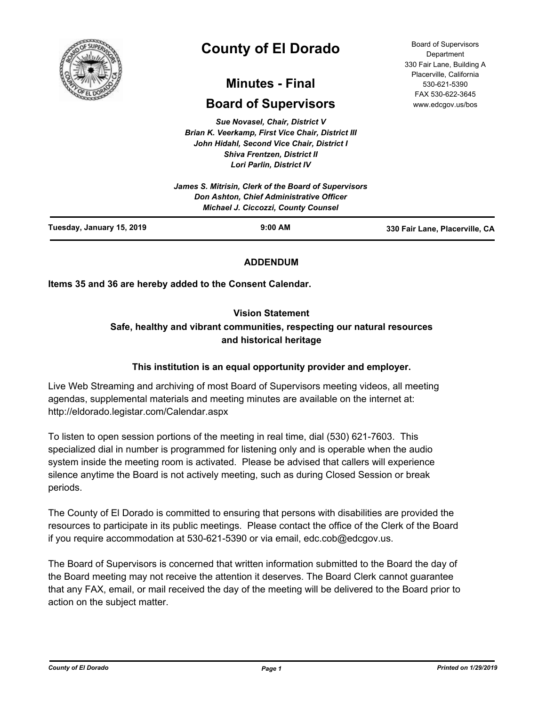

# **County of El Dorado**

## **Minutes - Final**

## **Board of Supervisors**

*Sue Novasel, Chair, District V Brian K. Veerkamp, First Vice Chair, District III John Hidahl, Second Vice Chair, District I Shiva Frentzen, District II Lori Parlin, District IV James S. Mitrisin, Clerk of the Board of Supervisors*

Board of Supervisors Department 330 Fair Lane, Building A Placerville, California 530-621-5390 FAX 530-622-3645 www.edcgov.us/bos

|                           | James 3. Millism, Clerk of the Board of Supervisors<br>Don Ashton, Chief Administrative Officer |                                |
|---------------------------|-------------------------------------------------------------------------------------------------|--------------------------------|
|                           | Michael J. Ciccozzi, County Counsel                                                             |                                |
| Tuesday, January 15, 2019 | $9:00$ AM                                                                                       | 330 Fair Lane, Placerville, CA |

## **ADDENDUM**

**Items 35 and 36 are hereby added to the Consent Calendar.**

## **Vision Statement**

## **Safe, healthy and vibrant communities, respecting our natural resources and historical heritage**

## **This institution is an equal opportunity provider and employer.**

Live Web Streaming and archiving of most Board of Supervisors meeting videos, all meeting agendas, supplemental materials and meeting minutes are available on the internet at: http://eldorado.legistar.com/Calendar.aspx

To listen to open session portions of the meeting in real time, dial (530) 621-7603. This specialized dial in number is programmed for listening only and is operable when the audio system inside the meeting room is activated. Please be advised that callers will experience silence anytime the Board is not actively meeting, such as during Closed Session or break periods.

The County of El Dorado is committed to ensuring that persons with disabilities are provided the resources to participate in its public meetings. Please contact the office of the Clerk of the Board if you require accommodation at 530-621-5390 or via email, edc.cob@edcgov.us.

The Board of Supervisors is concerned that written information submitted to the Board the day of the Board meeting may not receive the attention it deserves. The Board Clerk cannot guarantee that any FAX, email, or mail received the day of the meeting will be delivered to the Board prior to action on the subject matter.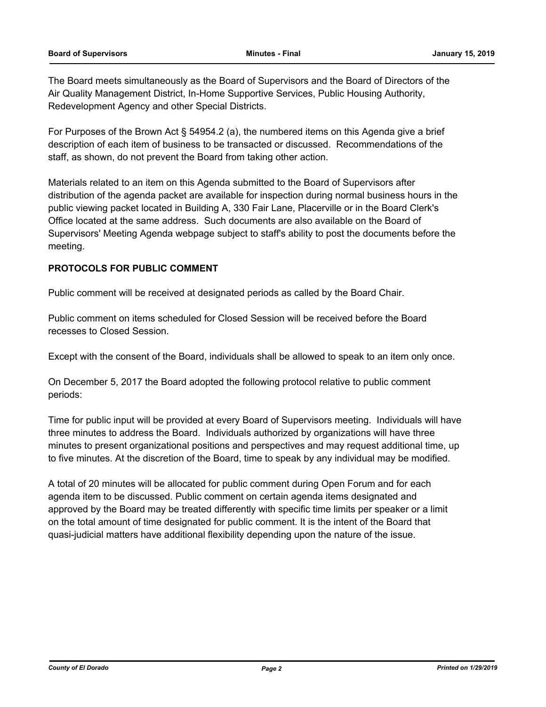The Board meets simultaneously as the Board of Supervisors and the Board of Directors of the Air Quality Management District, In-Home Supportive Services, Public Housing Authority, Redevelopment Agency and other Special Districts.

For Purposes of the Brown Act § 54954.2 (a), the numbered items on this Agenda give a brief description of each item of business to be transacted or discussed. Recommendations of the staff, as shown, do not prevent the Board from taking other action.

Materials related to an item on this Agenda submitted to the Board of Supervisors after distribution of the agenda packet are available for inspection during normal business hours in the public viewing packet located in Building A, 330 Fair Lane, Placerville or in the Board Clerk's Office located at the same address. Such documents are also available on the Board of Supervisors' Meeting Agenda webpage subject to staff's ability to post the documents before the meeting.

## **PROTOCOLS FOR PUBLIC COMMENT**

Public comment will be received at designated periods as called by the Board Chair.

Public comment on items scheduled for Closed Session will be received before the Board recesses to Closed Session.

Except with the consent of the Board, individuals shall be allowed to speak to an item only once.

On December 5, 2017 the Board adopted the following protocol relative to public comment periods:

Time for public input will be provided at every Board of Supervisors meeting. Individuals will have three minutes to address the Board. Individuals authorized by organizations will have three minutes to present organizational positions and perspectives and may request additional time, up to five minutes. At the discretion of the Board, time to speak by any individual may be modified.

A total of 20 minutes will be allocated for public comment during Open Forum and for each agenda item to be discussed. Public comment on certain agenda items designated and approved by the Board may be treated differently with specific time limits per speaker or a limit on the total amount of time designated for public comment. It is the intent of the Board that quasi-judicial matters have additional flexibility depending upon the nature of the issue.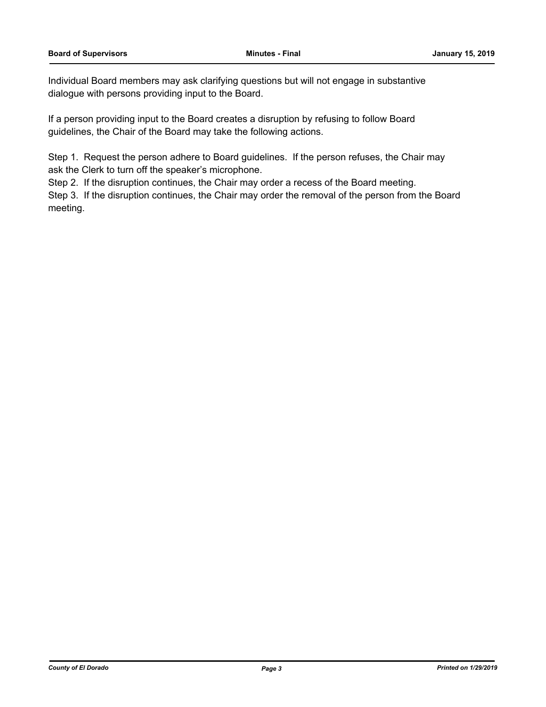Individual Board members may ask clarifying questions but will not engage in substantive dialogue with persons providing input to the Board.

If a person providing input to the Board creates a disruption by refusing to follow Board guidelines, the Chair of the Board may take the following actions.

Step 1. Request the person adhere to Board guidelines. If the person refuses, the Chair may ask the Clerk to turn off the speaker's microphone.

Step 2. If the disruption continues, the Chair may order a recess of the Board meeting.

Step 3. If the disruption continues, the Chair may order the removal of the person from the Board meeting.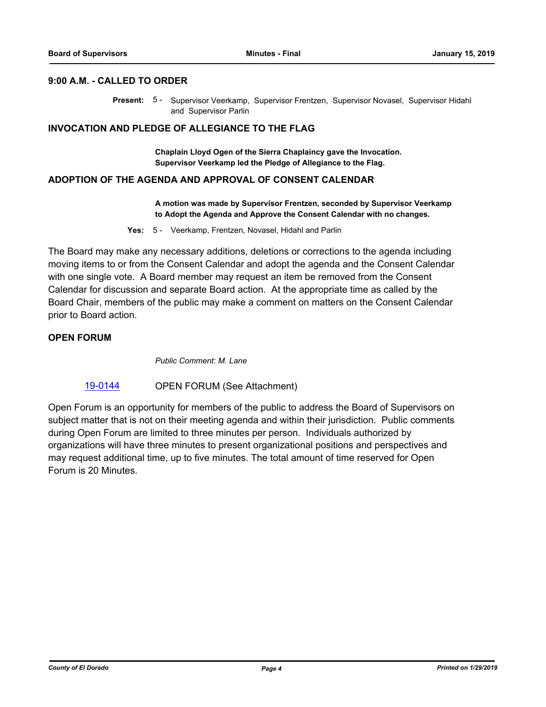## **9:00 A.M. - CALLED TO ORDER**

Present: 5 - Supervisor Veerkamp, Supervisor Frentzen, Supervisor Novasel, Supervisor Hidahl and Supervisor Parlin

#### **INVOCATION AND PLEDGE OF ALLEGIANCE TO THE FLAG**

**Chaplain Lloyd Ogen of the Sierra Chaplaincy gave the Invocation. Supervisor Veerkamp led the Pledge of Allegiance to the Flag.**

#### **ADOPTION OF THE AGENDA AND APPROVAL OF CONSENT CALENDAR**

**A motion was made by Supervisor Frentzen, seconded by Supervisor Veerkamp to Adopt the Agenda and Approve the Consent Calendar with no changes.**

**Yes:** 5 - Veerkamp, Frentzen, Novasel, Hidahl and Parlin

The Board may make any necessary additions, deletions or corrections to the agenda including moving items to or from the Consent Calendar and adopt the agenda and the Consent Calendar with one single vote. A Board member may request an item be removed from the Consent Calendar for discussion and separate Board action. At the appropriate time as called by the Board Chair, members of the public may make a comment on matters on the Consent Calendar prior to Board action.

#### **OPEN FORUM**

*Public Comment: M. Lane*

[19-0144](http://eldorado.legistar.com/gateway.aspx?m=l&id=/matter.aspx?key=25464) OPEN FORUM (See Attachment)

Open Forum is an opportunity for members of the public to address the Board of Supervisors on subject matter that is not on their meeting agenda and within their jurisdiction. Public comments during Open Forum are limited to three minutes per person. Individuals authorized by organizations will have three minutes to present organizational positions and perspectives and may request additional time, up to five minutes. The total amount of time reserved for Open Forum is 20 Minutes.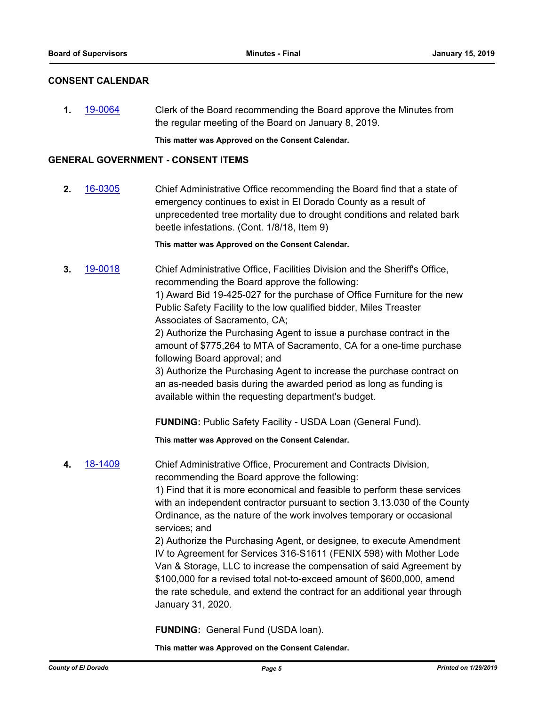#### **CONSENT CALENDAR**

**1.** [19-0064](http://eldorado.legistar.com/gateway.aspx?m=l&id=/matter.aspx?key=25385) Clerk of the Board recommending the Board approve the Minutes from the regular meeting of the Board on January 8, 2019.

**This matter was Approved on the Consent Calendar.**

#### **GENERAL GOVERNMENT - CONSENT ITEMS**

**2.** [16-0305](http://eldorado.legistar.com/gateway.aspx?m=l&id=/matter.aspx?key=20961) Chief Administrative Office recommending the Board find that a state of emergency continues to exist in El Dorado County as a result of unprecedented tree mortality due to drought conditions and related bark beetle infestations. (Cont. 1/8/18, Item 9)

**This matter was Approved on the Consent Calendar.**

**3.** [19-0018](http://eldorado.legistar.com/gateway.aspx?m=l&id=/matter.aspx?key=25339) Chief Administrative Office, Facilities Division and the Sheriff's Office, recommending the Board approve the following: 1) Award Bid 19-425-027 for the purchase of Office Furniture for the new Public Safety Facility to the low qualified bidder, Miles Treaster

Associates of Sacramento, CA; 2) Authorize the Purchasing Agent to issue a purchase contract in the amount of \$775,264 to MTA of Sacramento, CA for a one-time purchase following Board approval; and

3) Authorize the Purchasing Agent to increase the purchase contract on an as-needed basis during the awarded period as long as funding is available within the requesting department's budget.

**FUNDING:** Public Safety Facility - USDA Loan (General Fund).

**This matter was Approved on the Consent Calendar.**

**4.** [18-1409](http://eldorado.legistar.com/gateway.aspx?m=l&id=/matter.aspx?key=24761) Chief Administrative Office, Procurement and Contracts Division, recommending the Board approve the following:

> 1) Find that it is more economical and feasible to perform these services with an independent contractor pursuant to section 3.13.030 of the County Ordinance, as the nature of the work involves temporary or occasional services; and

2) Authorize the Purchasing Agent, or designee, to execute Amendment IV to Agreement for Services 316-S1611 (FENIX 598) with Mother Lode Van & Storage, LLC to increase the compensation of said Agreement by \$100,000 for a revised total not-to-exceed amount of \$600,000, amend the rate schedule, and extend the contract for an additional year through January 31, 2020.

**FUNDING:** General Fund (USDA loan).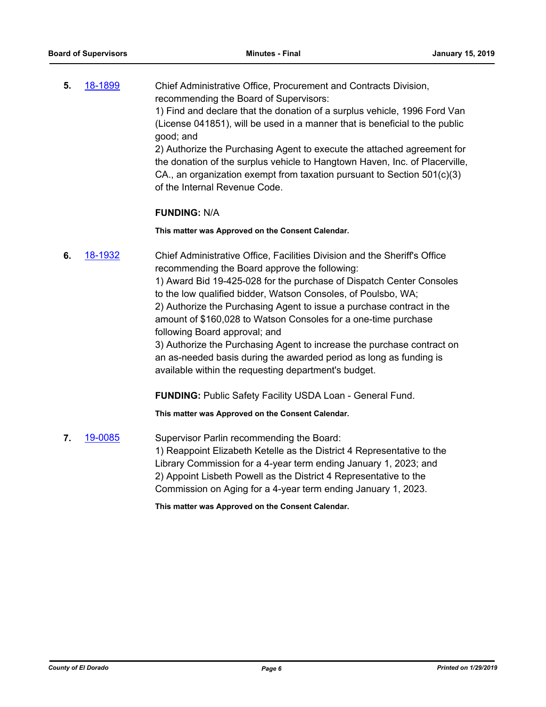**5.** [18-1899](http://eldorado.legistar.com/gateway.aspx?m=l&id=/matter.aspx?key=25249) Chief Administrative Office, Procurement and Contracts Division, recommending the Board of Supervisors: 1) Find and declare that the donation of a surplus vehicle, 1996 Ford Van (License 041851), will be used in a manner that is beneficial to the public good; and

2) Authorize the Purchasing Agent to execute the attached agreement for the donation of the surplus vehicle to Hangtown Haven, Inc. of Placerville, CA., an organization exempt from taxation pursuant to Section 501(c)(3) of the Internal Revenue Code.

#### **FUNDING:** N/A

**This matter was Approved on the Consent Calendar.**

**6.** [18-1932](http://eldorado.legistar.com/gateway.aspx?m=l&id=/matter.aspx?key=25282) Chief Administrative Office, Facilities Division and the Sheriff's Office recommending the Board approve the following:

> 1) Award Bid 19-425-028 for the purchase of Dispatch Center Consoles to the low qualified bidder, Watson Consoles, of Poulsbo, WA; 2) Authorize the Purchasing Agent to issue a purchase contract in the amount of \$160,028 to Watson Consoles for a one-time purchase following Board approval; and

> 3) Authorize the Purchasing Agent to increase the purchase contract on an as-needed basis during the awarded period as long as funding is available within the requesting department's budget.

**FUNDING:** Public Safety Facility USDA Loan - General Fund.

**This matter was Approved on the Consent Calendar.**

**7.** [19-0085](http://eldorado.legistar.com/gateway.aspx?m=l&id=/matter.aspx?key=25406) Supervisor Parlin recommending the Board: 1) Reappoint Elizabeth Ketelle as the District 4 Representative to the Library Commission for a 4-year term ending January 1, 2023; and 2) Appoint Lisbeth Powell as the District 4 Representative to the Commission on Aging for a 4-year term ending January 1, 2023.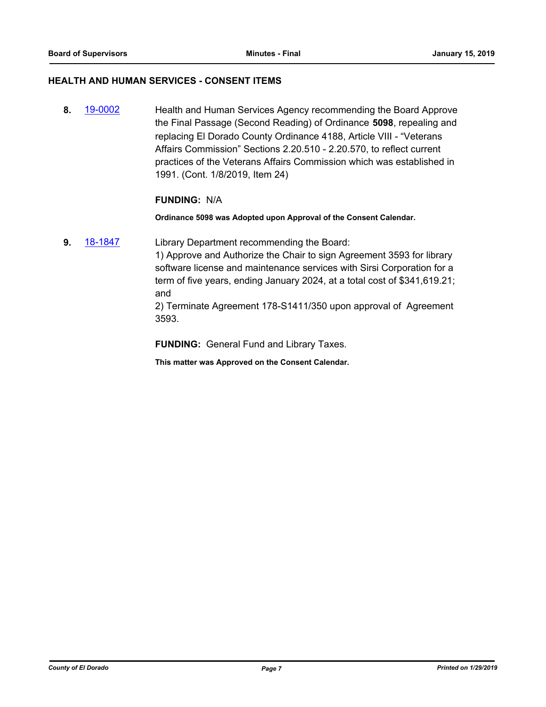### **HEALTH AND HUMAN SERVICES - CONSENT ITEMS**

**8.** [19-0002](http://eldorado.legistar.com/gateway.aspx?m=l&id=/matter.aspx?key=25323) Health and Human Services Agency recommending the Board Approve the Final Passage (Second Reading) of Ordinance **5098**, repealing and replacing El Dorado County Ordinance 4188, Article VIII - "Veterans Affairs Commission" Sections 2.20.510 - 2.20.570, to reflect current practices of the Veterans Affairs Commission which was established in 1991. (Cont. 1/8/2019, Item 24)

#### **FUNDING:** N/A

**Ordinance 5098 was Adopted upon Approval of the Consent Calendar.**

**9.** [18-1847](http://eldorado.legistar.com/gateway.aspx?m=l&id=/matter.aspx?key=25197) Library Department recommending the Board:

1) Approve and Authorize the Chair to sign Agreement 3593 for library software license and maintenance services with Sirsi Corporation for a term of five years, ending January 2024, at a total cost of \$341,619.21; and

2) Terminate Agreement 178-S1411/350 upon approval of Agreement 3593.

**FUNDING:** General Fund and Library Taxes.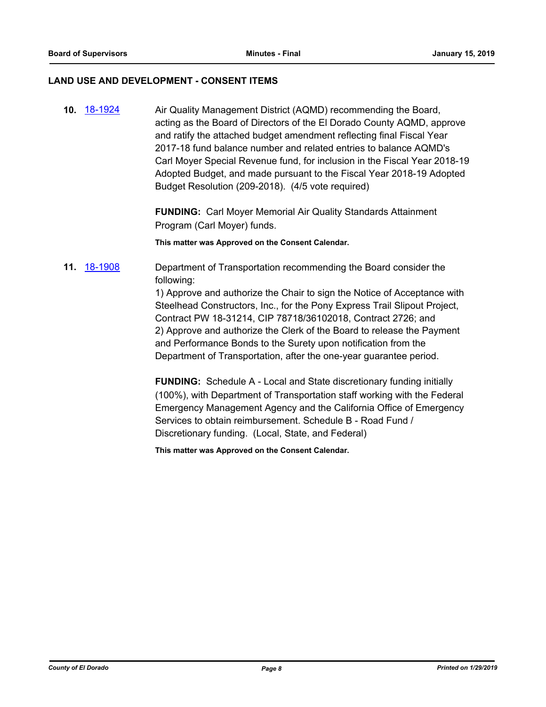#### **LAND USE AND DEVELOPMENT - CONSENT ITEMS**

**10.** [18-1924](http://eldorado.legistar.com/gateway.aspx?m=l&id=/matter.aspx?key=25274) Air Quality Management District (AQMD) recommending the Board, acting as the Board of Directors of the El Dorado County AQMD, approve and ratify the attached budget amendment reflecting final Fiscal Year 2017-18 fund balance number and related entries to balance AQMD's Carl Moyer Special Revenue fund, for inclusion in the Fiscal Year 2018-19 Adopted Budget, and made pursuant to the Fiscal Year 2018-19 Adopted Budget Resolution (209-2018). (4/5 vote required)

> **FUNDING:** Carl Moyer Memorial Air Quality Standards Attainment Program (Carl Moyer) funds.

**This matter was Approved on the Consent Calendar.**

## **11.** [18-1908](http://eldorado.legistar.com/gateway.aspx?m=l&id=/matter.aspx?key=25258) Department of Transportation recommending the Board consider the following:

1) Approve and authorize the Chair to sign the Notice of Acceptance with Steelhead Constructors, Inc., for the Pony Express Trail Slipout Project, Contract PW 18-31214, CIP 78718/36102018, Contract 2726; and 2) Approve and authorize the Clerk of the Board to release the Payment and Performance Bonds to the Surety upon notification from the Department of Transportation, after the one-year guarantee period.

**FUNDING:** Schedule A - Local and State discretionary funding initially (100%), with Department of Transportation staff working with the Federal Emergency Management Agency and the California Office of Emergency Services to obtain reimbursement. Schedule B - Road Fund / Discretionary funding. (Local, State, and Federal)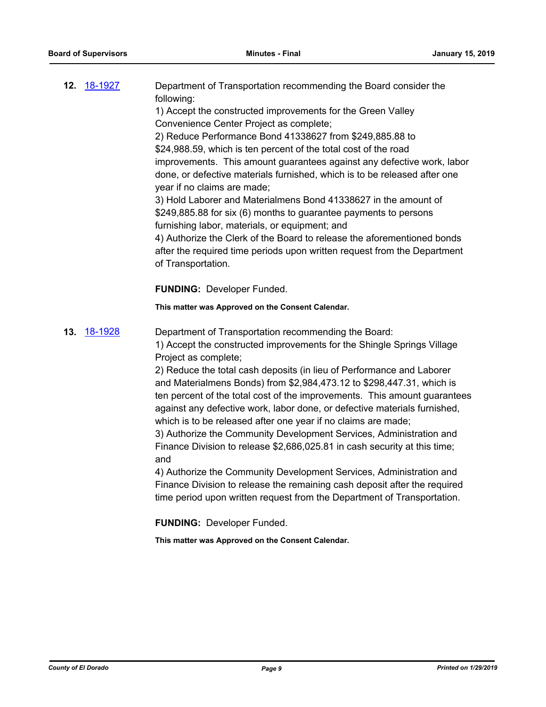|     | <b>12.</b> 18-1927 | Department of Transportation recommending the Board consider the<br>following:<br>1) Accept the constructed improvements for the Green Valley<br>Convenience Center Project as complete;<br>2) Reduce Performance Bond 41338627 from \$249,885.88 to<br>\$24,988.59, which is ten percent of the total cost of the road<br>improvements. This amount guarantees against any defective work, labor<br>done, or defective materials furnished, which is to be released after one<br>year if no claims are made;<br>3) Hold Laborer and Materialmens Bond 41338627 in the amount of<br>\$249,885.88 for six (6) months to guarantee payments to persons<br>furnishing labor, materials, or equipment; and<br>4) Authorize the Clerk of the Board to release the aforementioned bonds<br>after the required time periods upon written request from the Department<br>of Transportation.                                                                                                                                     |
|-----|--------------------|-------------------------------------------------------------------------------------------------------------------------------------------------------------------------------------------------------------------------------------------------------------------------------------------------------------------------------------------------------------------------------------------------------------------------------------------------------------------------------------------------------------------------------------------------------------------------------------------------------------------------------------------------------------------------------------------------------------------------------------------------------------------------------------------------------------------------------------------------------------------------------------------------------------------------------------------------------------------------------------------------------------------------|
|     |                    | <b>FUNDING: Developer Funded.</b>                                                                                                                                                                                                                                                                                                                                                                                                                                                                                                                                                                                                                                                                                                                                                                                                                                                                                                                                                                                       |
|     |                    | This matter was Approved on the Consent Calendar.                                                                                                                                                                                                                                                                                                                                                                                                                                                                                                                                                                                                                                                                                                                                                                                                                                                                                                                                                                       |
| 13. | <u>18-1928</u>     | Department of Transportation recommending the Board:<br>1) Accept the constructed improvements for the Shingle Springs Village<br>Project as complete;<br>2) Reduce the total cash deposits (in lieu of Performance and Laborer<br>and Materialmens Bonds) from \$2,984,473.12 to \$298,447.31, which is<br>ten percent of the total cost of the improvements. This amount guarantees<br>against any defective work, labor done, or defective materials furnished,<br>which is to be released after one year if no claims are made;<br>3) Authorize the Community Development Services, Administration and<br>Finance Division to release \$2,686,025.81 in cash security at this time;<br>and<br>4) Authorize the Community Development Services, Administration and<br>Finance Division to release the remaining cash deposit after the required<br>time period upon written request from the Department of Transportation.<br><b>FUNDING: Developer Funded.</b><br>This matter was Approved on the Consent Calendar. |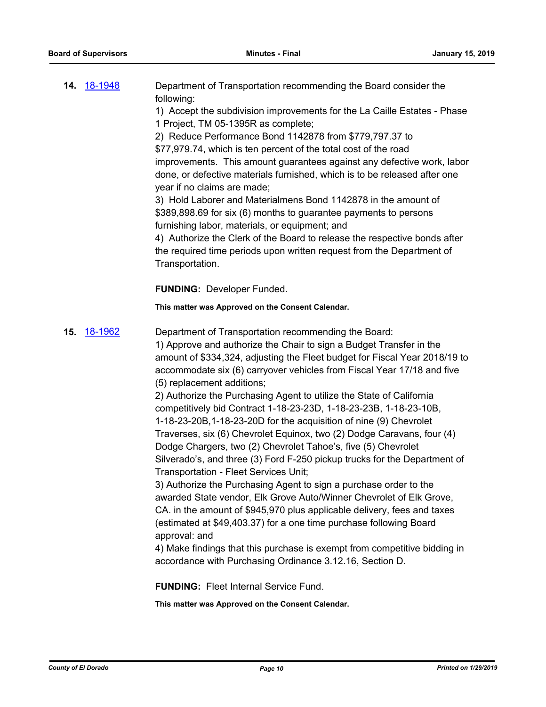| <b>14.</b> 18-1948 | Department of Transportation recommending the Board consider the<br>following:<br>1) Accept the subdivision improvements for the La Caille Estates - Phase<br>1 Project, TM 05-1395R as complete;<br>2) Reduce Performance Bond 1142878 from \$779,797.37 to<br>\$77,979.74, which is ten percent of the total cost of the road<br>improvements. This amount guarantees against any defective work, labor<br>done, or defective materials furnished, which is to be released after one<br>year if no claims are made;<br>3) Hold Laborer and Materialmens Bond 1142878 in the amount of<br>\$389,898.69 for six (6) months to guarantee payments to persons<br>furnishing labor, materials, or equipment; and<br>4) Authorize the Clerk of the Board to release the respective bonds after<br>the required time periods upon written request from the Department of<br>Transportation.                                                                                                                                                                                                                                                                                                                                                                                                                                                                            |
|--------------------|-------------------------------------------------------------------------------------------------------------------------------------------------------------------------------------------------------------------------------------------------------------------------------------------------------------------------------------------------------------------------------------------------------------------------------------------------------------------------------------------------------------------------------------------------------------------------------------------------------------------------------------------------------------------------------------------------------------------------------------------------------------------------------------------------------------------------------------------------------------------------------------------------------------------------------------------------------------------------------------------------------------------------------------------------------------------------------------------------------------------------------------------------------------------------------------------------------------------------------------------------------------------------------------------------------------------------------------------------------------------|
|                    | <b>FUNDING: Developer Funded.</b>                                                                                                                                                                                                                                                                                                                                                                                                                                                                                                                                                                                                                                                                                                                                                                                                                                                                                                                                                                                                                                                                                                                                                                                                                                                                                                                                 |
|                    | This matter was Approved on the Consent Calendar.                                                                                                                                                                                                                                                                                                                                                                                                                                                                                                                                                                                                                                                                                                                                                                                                                                                                                                                                                                                                                                                                                                                                                                                                                                                                                                                 |
| <b>15.</b> 18-1962 | Department of Transportation recommending the Board:<br>1) Approve and authorize the Chair to sign a Budget Transfer in the<br>amount of \$334,324, adjusting the Fleet budget for Fiscal Year 2018/19 to<br>accommodate six (6) carryover vehicles from Fiscal Year 17/18 and five<br>(5) replacement additions;<br>2) Authorize the Purchasing Agent to utilize the State of California<br>competitively bid Contract 1-18-23-23D, 1-18-23-23B, 1-18-23-10B,<br>1-18-23-20B, 1-18-23-20D for the acquisition of nine (9) Chevrolet<br>Traverses, six (6) Chevrolet Equinox, two (2) Dodge Caravans, four (4)<br>Dodge Chargers, two (2) Chevrolet Tahoe's, five (5) Chevrolet<br>Silverado's, and three (3) Ford F-250 pickup trucks for the Department of<br>Transportation - Fleet Services Unit;<br>3) Authorize the Purchasing Agent to sign a purchase order to the<br>awarded State vendor, Elk Grove Auto/Winner Chevrolet of Elk Grove,<br>CA. in the amount of \$945,970 plus applicable delivery, fees and taxes<br>(estimated at \$49,403.37) for a one time purchase following Board<br>approval: and<br>4) Make findings that this purchase is exempt from competitive bidding in<br>accordance with Purchasing Ordinance 3.12.16, Section D.<br><b>FUNDING: Fleet Internal Service Fund.</b><br>This matter was Approved on the Consent Calendar. |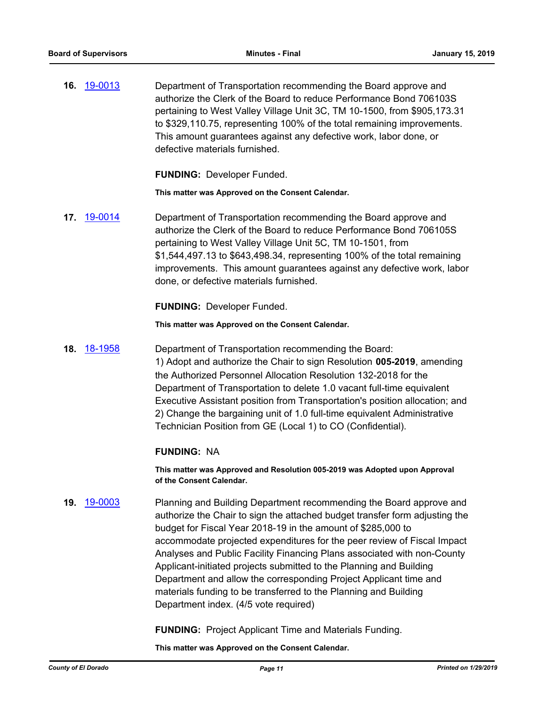**16.** [19-0013](http://eldorado.legistar.com/gateway.aspx?m=l&id=/matter.aspx?key=25334) Department of Transportation recommending the Board approve and authorize the Clerk of the Board to reduce Performance Bond 706103S pertaining to West Valley Village Unit 3C, TM 10-1500, from \$905,173.31 to \$329,110.75, representing 100% of the total remaining improvements. This amount guarantees against any defective work, labor done, or defective materials furnished.

**FUNDING:** Developer Funded.

**This matter was Approved on the Consent Calendar.**

**17.** [19-0014](http://eldorado.legistar.com/gateway.aspx?m=l&id=/matter.aspx?key=25335) Department of Transportation recommending the Board approve and authorize the Clerk of the Board to reduce Performance Bond 706105S pertaining to West Valley Village Unit 5C, TM 10-1501, from \$1,544,497.13 to \$643,498.34, representing 100% of the total remaining improvements. This amount guarantees against any defective work, labor done, or defective materials furnished.

**FUNDING:** Developer Funded.

**This matter was Approved on the Consent Calendar.**

**18.** [18-1958](http://eldorado.legistar.com/gateway.aspx?m=l&id=/matter.aspx?key=25308) Department of Transportation recommending the Board: 1) Adopt and authorize the Chair to sign Resolution **005-2019**, amending the Authorized Personnel Allocation Resolution 132-2018 for the Department of Transportation to delete 1.0 vacant full-time equivalent Executive Assistant position from Transportation's position allocation; and 2) Change the bargaining unit of 1.0 full-time equivalent Administrative Technician Position from GE (Local 1) to CO (Confidential).

## **FUNDING:** NA

**This matter was Approved and Resolution 005-2019 was Adopted upon Approval of the Consent Calendar.**

**19.** [19-0003](http://eldorado.legistar.com/gateway.aspx?m=l&id=/matter.aspx?key=25324) Planning and Building Department recommending the Board approve and authorize the Chair to sign the attached budget transfer form adjusting the budget for Fiscal Year 2018-19 in the amount of \$285,000 to accommodate projected expenditures for the peer review of Fiscal Impact Analyses and Public Facility Financing Plans associated with non-County Applicant-initiated projects submitted to the Planning and Building Department and allow the corresponding Project Applicant time and materials funding to be transferred to the Planning and Building Department index. (4/5 vote required)

**FUNDING:** Project Applicant Time and Materials Funding.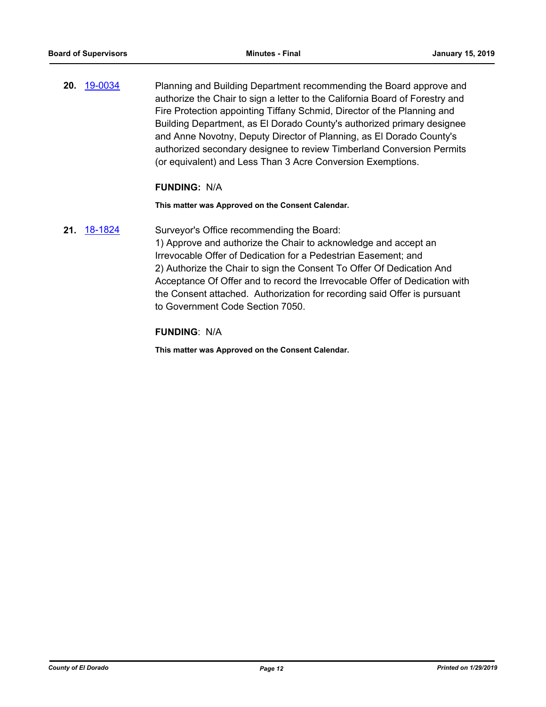**20.** [19-0034](http://eldorado.legistar.com/gateway.aspx?m=l&id=/matter.aspx?key=25355) Planning and Building Department recommending the Board approve and authorize the Chair to sign a letter to the California Board of Forestry and Fire Protection appointing Tiffany Schmid, Director of the Planning and Building Department, as El Dorado County's authorized primary designee and Anne Novotny, Deputy Director of Planning, as El Dorado County's authorized secondary designee to review Timberland Conversion Permits (or equivalent) and Less Than 3 Acre Conversion Exemptions.

#### **FUNDING:** N/A

#### **This matter was Approved on the Consent Calendar.**

**21.** [18-1824](http://eldorado.legistar.com/gateway.aspx?m=l&id=/matter.aspx?key=25175) Surveyor's Office recommending the Board:

1) Approve and authorize the Chair to acknowledge and accept an Irrevocable Offer of Dedication for a Pedestrian Easement; and 2) Authorize the Chair to sign the Consent To Offer Of Dedication And Acceptance Of Offer and to record the Irrevocable Offer of Dedication with the Consent attached. Authorization for recording said Offer is pursuant to Government Code Section 7050.

#### **FUNDING**: N/A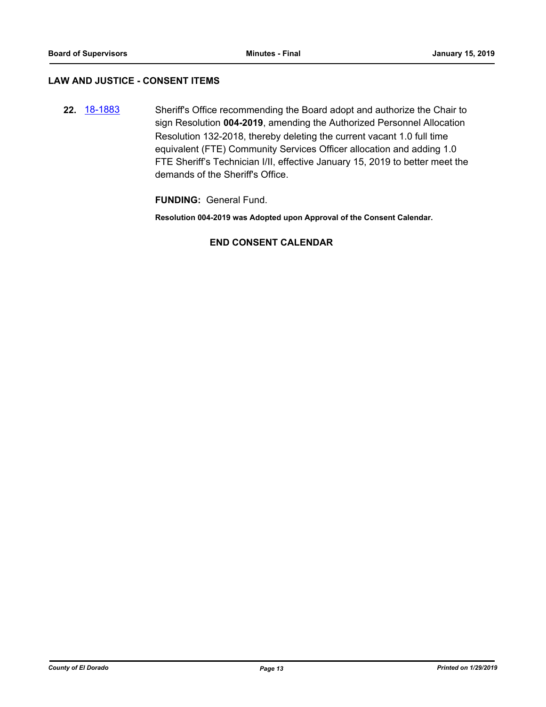#### **LAW AND JUSTICE - CONSENT ITEMS**

**22.** [18-1883](http://eldorado.legistar.com/gateway.aspx?m=l&id=/matter.aspx?key=25233) Sheriff's Office recommending the Board adopt and authorize the Chair to sign Resolution **004-2019**, amending the Authorized Personnel Allocation Resolution 132-2018, thereby deleting the current vacant 1.0 full time equivalent (FTE) Community Services Officer allocation and adding 1.0 FTE Sheriff's Technician I/II, effective January 15, 2019 to better meet the demands of the Sheriff's Office.

**FUNDING:** General Fund.

**Resolution 004-2019 was Adopted upon Approval of the Consent Calendar.**

#### **END CONSENT CALENDAR**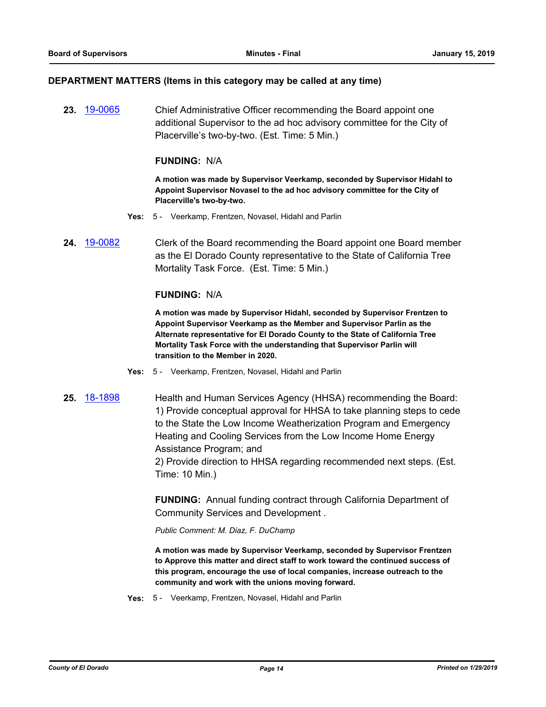#### **DEPARTMENT MATTERS (Items in this category may be called at any time)**

**23.** [19-0065](http://eldorado.legistar.com/gateway.aspx?m=l&id=/matter.aspx?key=25386) Chief Administrative Officer recommending the Board appoint one additional Supervisor to the ad hoc advisory committee for the City of Placerville's two-by-two. (Est. Time: 5 Min.)

#### **FUNDING:** N/A

**A motion was made by Supervisor Veerkamp, seconded by Supervisor Hidahl to Appoint Supervisor Novasel to the ad hoc advisory committee for the City of Placerville's two-by-two.**

- **Yes:** 5 Veerkamp, Frentzen, Novasel, Hidahl and Parlin
- **24.** [19-0082](http://eldorado.legistar.com/gateway.aspx?m=l&id=/matter.aspx?key=25403) Clerk of the Board recommending the Board appoint one Board member as the El Dorado County representative to the State of California Tree Mortality Task Force. (Est. Time: 5 Min.)

#### **FUNDING:** N/A

**A motion was made by Supervisor Hidahl, seconded by Supervisor Frentzen to Appoint Supervisor Veerkamp as the Member and Supervisor Parlin as the Alternate representative for El Dorado County to the State of California Tree Mortality Task Force with the understanding that Supervisor Parlin will transition to the Member in 2020.**

- **Yes:** 5 Veerkamp, Frentzen, Novasel, Hidahl and Parlin
- **25.** [18-1898](http://eldorado.legistar.com/gateway.aspx?m=l&id=/matter.aspx?key=25248) Health and Human Services Agency (HHSA) recommending the Board: 1) Provide conceptual approval for HHSA to take planning steps to cede to the State the Low Income Weatherization Program and Emergency Heating and Cooling Services from the Low Income Home Energy Assistance Program; and

2) Provide direction to HHSA regarding recommended next steps. (Est. Time: 10 Min.)

**FUNDING:** Annual funding contract through California Department of Community Services and Development .

*Public Comment: M. Diaz, F. DuChamp*

**A motion was made by Supervisor Veerkamp, seconded by Supervisor Frentzen to Approve this matter and direct staff to work toward the continued success of this program, encourage the use of local companies, increase outreach to the community and work with the unions moving forward.**

**Yes:** 5 - Veerkamp, Frentzen, Novasel, Hidahl and Parlin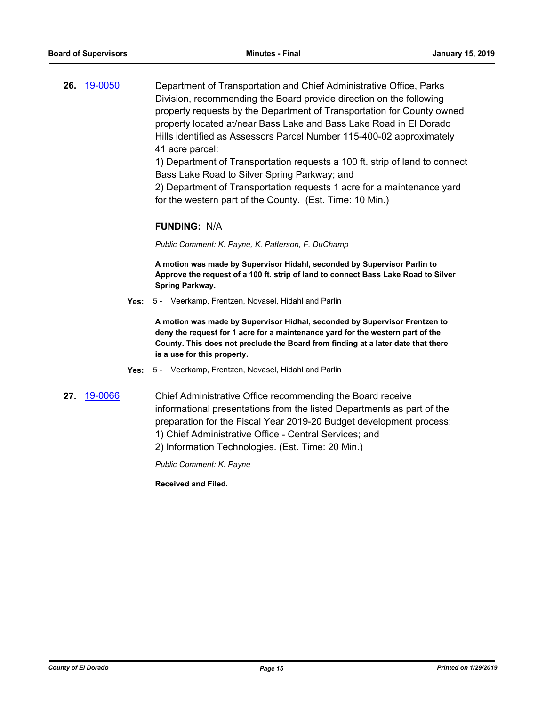**26.** [19-0050](http://eldorado.legistar.com/gateway.aspx?m=l&id=/matter.aspx?key=25371) Department of Transportation and Chief Administrative Office, Parks Division, recommending the Board provide direction on the following property requests by the Department of Transportation for County owned property located at/near Bass Lake and Bass Lake Road in El Dorado Hills identified as Assessors Parcel Number 115-400-02 approximately 41 acre parcel:

> 1) Department of Transportation requests a 100 ft. strip of land to connect Bass Lake Road to Silver Spring Parkway; and

2) Department of Transportation requests 1 acre for a maintenance yard for the western part of the County. (Est. Time: 10 Min.)

#### **FUNDING:** N/A

*Public Comment: K. Payne, K. Patterson, F. DuChamp*

**A motion was made by Supervisor Hidahl, seconded by Supervisor Parlin to Approve the request of a 100 ft. strip of land to connect Bass Lake Road to Silver Spring Parkway.**

**Yes:** 5 - Veerkamp, Frentzen, Novasel, Hidahl and Parlin

**A motion was made by Supervisor Hidhal, seconded by Supervisor Frentzen to deny the request for 1 acre for a maintenance yard for the western part of the County. This does not preclude the Board from finding at a later date that there is a use for this property.**

- **Yes:** 5 Veerkamp, Frentzen, Novasel, Hidahl and Parlin
- 
- **27.** [19-0066](http://eldorado.legistar.com/gateway.aspx?m=l&id=/matter.aspx?key=25387) Chief Administrative Office recommending the Board receive informational presentations from the listed Departments as part of the preparation for the Fiscal Year 2019-20 Budget development process: 1) Chief Administrative Office - Central Services; and
	- 2) Information Technologies. (Est. Time: 20 Min.)

*Public Comment: K. Payne*

**Received and Filed.**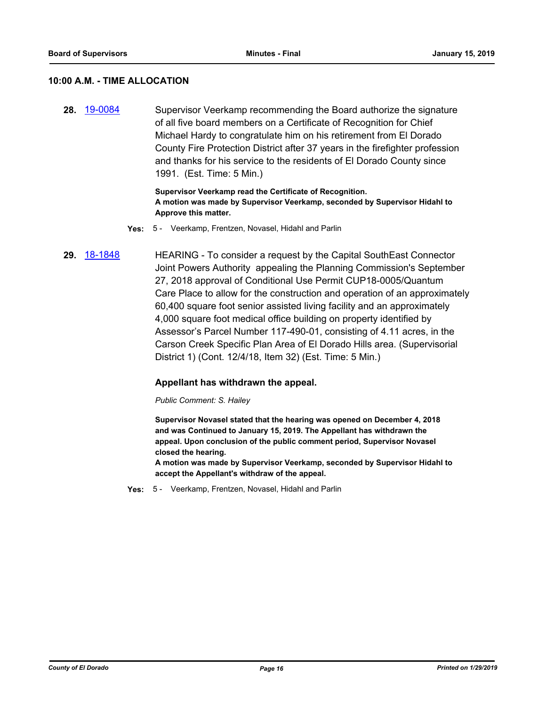#### **10:00 A.M. - TIME ALLOCATION**

**28.** [19-0084](http://eldorado.legistar.com/gateway.aspx?m=l&id=/matter.aspx?key=25405) Supervisor Veerkamp recommending the Board authorize the signature of all five board members on a Certificate of Recognition for Chief Michael Hardy to congratulate him on his retirement from El Dorado County Fire Protection District after 37 years in the firefighter profession and thanks for his service to the residents of El Dorado County since 1991. (Est. Time: 5 Min.)

> **Supervisor Veerkamp read the Certificate of Recognition. A motion was made by Supervisor Veerkamp, seconded by Supervisor Hidahl to Approve this matter.**

- **Yes:** 5 Veerkamp, Frentzen, Novasel, Hidahl and Parlin
- **29.** [18-1848](http://eldorado.legistar.com/gateway.aspx?m=l&id=/matter.aspx?key=25198) HEARING To consider a request by the Capital SouthEast Connector Joint Powers Authority appealing the Planning Commission's September 27, 2018 approval of Conditional Use Permit CUP18-0005/Quantum Care Place to allow for the construction and operation of an approximately 60,400 square foot senior assisted living facility and an approximately 4,000 square foot medical office building on property identified by Assessor's Parcel Number 117-490-01, consisting of 4.11 acres, in the Carson Creek Specific Plan Area of El Dorado Hills area. (Supervisorial District 1) (Cont. 12/4/18, Item 32) (Est. Time: 5 Min.)

#### **Appellant has withdrawn the appeal.**

*Public Comment: S. Hailey*

**Supervisor Novasel stated that the hearing was opened on December 4, 2018 and was Continued to January 15, 2019. The Appellant has withdrawn the appeal. Upon conclusion of the public comment period, Supervisor Novasel closed the hearing.**

**A motion was made by Supervisor Veerkamp, seconded by Supervisor Hidahl to accept the Appellant's withdraw of the appeal.**

**Yes:** 5 - Veerkamp, Frentzen, Novasel, Hidahl and Parlin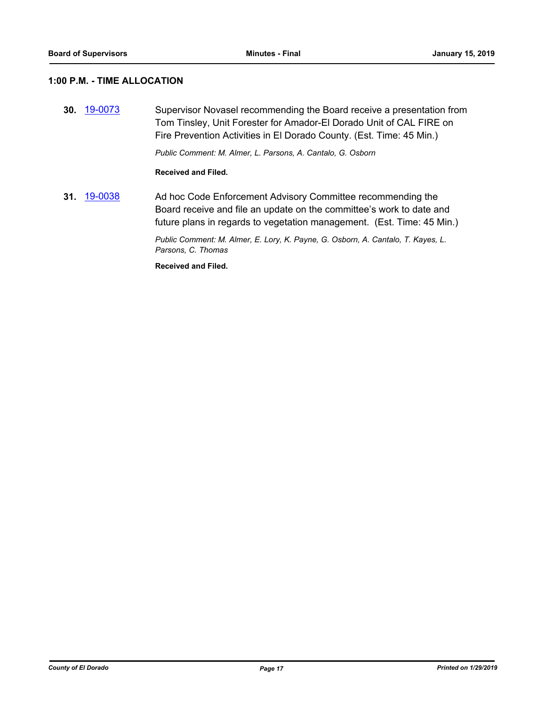## **1:00 P.M. - TIME ALLOCATION**

**30.** [19-0073](http://eldorado.legistar.com/gateway.aspx?m=l&id=/matter.aspx?key=25394) Supervisor Novasel recommending the Board receive a presentation from Tom Tinsley, Unit Forester for Amador-El Dorado Unit of CAL FIRE on Fire Prevention Activities in El Dorado County. (Est. Time: 45 Min.)

*Public Comment: M. Almer, L. Parsons, A. Cantalo, G. Osborn*

#### **Received and Filed.**

**31.** [19-0038](http://eldorado.legistar.com/gateway.aspx?m=l&id=/matter.aspx?key=25359) Ad hoc Code Enforcement Advisory Committee recommending the Board receive and file an update on the committee's work to date and future plans in regards to vegetation management. (Est. Time: 45 Min.)

> *Public Comment: M. Almer, E. Lory, K. Payne, G. Osborn, A. Cantalo, T. Kayes, L. Parsons, C. Thomas*

**Received and Filed.**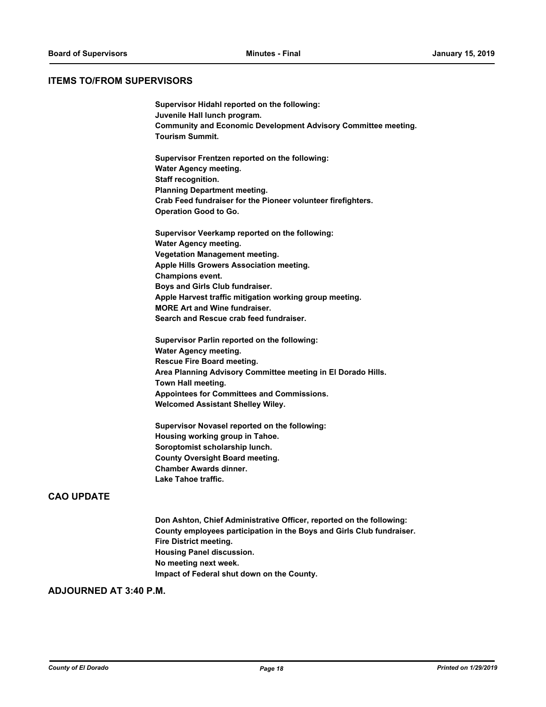#### **ITEMS TO/FROM SUPERVISORS**

| Supervisor Hidahl reported on the following:                          |
|-----------------------------------------------------------------------|
| Juvenile Hall lunch program.                                          |
| <b>Community and Economic Development Advisory Committee meeting.</b> |
| <b>Tourism Summit.</b>                                                |
| Supervisor Frentzen reported on the following:                        |
| Water Agency meeting.                                                 |
| Staff recognition.                                                    |
| <b>Planning Department meeting.</b>                                   |
| Crab Feed fundraiser for the Pioneer volunteer firefighters.          |
| <b>Operation Good to Go.</b>                                          |
| Supervisor Veerkamp reported on the following:                        |
| <b>Water Agency meeting.</b>                                          |
| <b>Vegetation Management meeting.</b>                                 |
| Apple Hills Growers Association meeting.                              |
| Champions event.                                                      |
| Boys and Girls Club fundraiser.                                       |
| Apple Harvest traffic mitigation working group meeting.               |
| <b>MORE Art and Wine fundraiser.</b>                                  |
| Search and Rescue crab feed fundraiser.                               |
| Supervisor Parlin reported on the following:                          |
| Water Agency meeting.                                                 |
| Rescue Fire Board meeting.                                            |
| Area Planning Advisory Committee meeting in El Dorado Hills.          |
| Town Hall meeting.                                                    |
| Appointees for Committees and Commissions.                            |
| <b>Welcomed Assistant Shelley Wiley.</b>                              |

**Supervisor Novasel reported on the following: Housing working group in Tahoe. Soroptomist scholarship lunch. County Oversight Board meeting. Chamber Awards dinner. Lake Tahoe traffic.**

## **CAO UPDATE**

**Don Ashton, Chief Administrative Officer, reported on the following: County employees participation in the Boys and Girls Club fundraiser. Fire District meeting. Housing Panel discussion. No meeting next week. Impact of Federal shut down on the County.**

## **ADJOURNED AT 3:40 P.M.**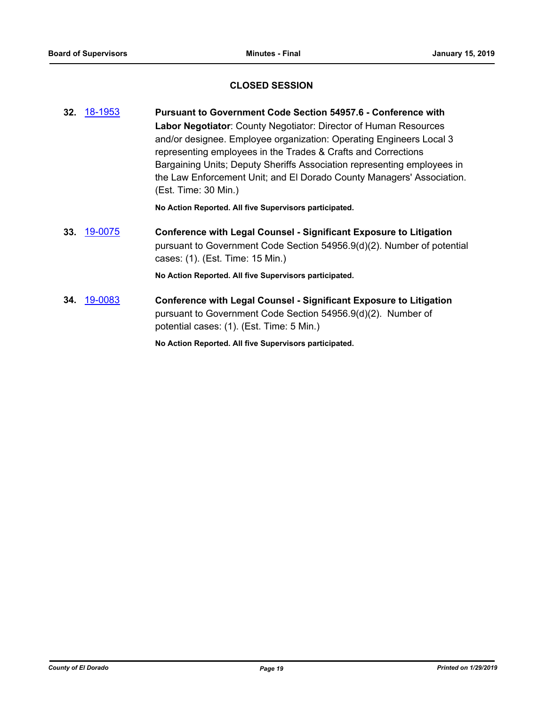## **CLOSED SESSION**

**32.** [18-1953](http://eldorado.legistar.com/gateway.aspx?m=l&id=/matter.aspx?key=25303) **Pursuant to Government Code Section 54957.6 - Conference with Labor Negotiator**: County Negotiator: Director of Human Resources and/or designee. Employee organization: Operating Engineers Local 3 representing employees in the Trades & Crafts and Corrections Bargaining Units; Deputy Sheriffs Association representing employees in the Law Enforcement Unit; and El Dorado County Managers' Association. (Est. Time: 30 Min.)

**No Action Reported. All five Supervisors participated.**

**33.** [19-0075](http://eldorado.legistar.com/gateway.aspx?m=l&id=/matter.aspx?key=25396) **Conference with Legal Counsel - Significant Exposure to Litigation** pursuant to Government Code Section 54956.9(d)(2). Number of potential cases: (1). (Est. Time: 15 Min.)

**No Action Reported. All five Supervisors participated.**

**34.** [19-0083](http://eldorado.legistar.com/gateway.aspx?m=l&id=/matter.aspx?key=25404) **Conference with Legal Counsel - Significant Exposure to Litigation** pursuant to Government Code Section 54956.9(d)(2). Number of potential cases: (1). (Est. Time: 5 Min.)

**No Action Reported. All five Supervisors participated.**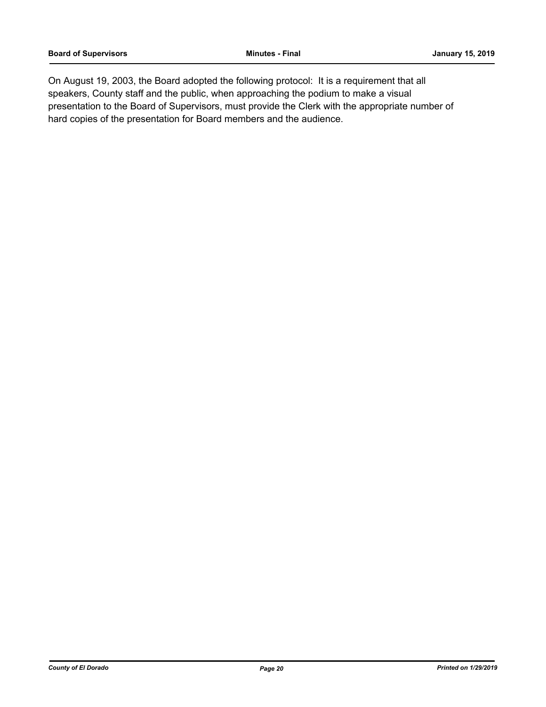On August 19, 2003, the Board adopted the following protocol: It is a requirement that all speakers, County staff and the public, when approaching the podium to make a visual presentation to the Board of Supervisors, must provide the Clerk with the appropriate number of hard copies of the presentation for Board members and the audience.